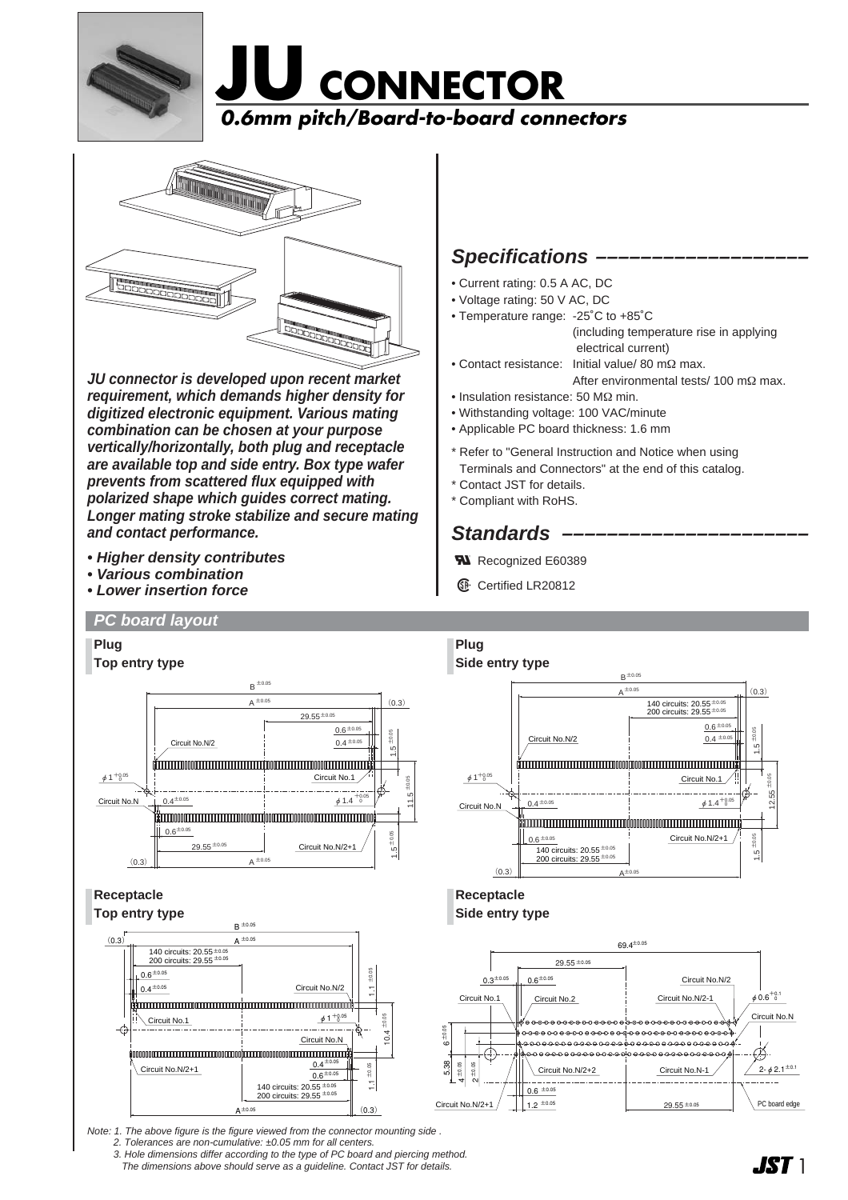





**JU connector is developed upon recent market requirement, which demands higher density for digitized electronic equipment. Various mating combination can be chosen at your purpose vertically/horizontally, both plug and receptacle are available top and side entry. Box type wafer prevents from scattered flux equipped with polarized shape which guides correct mating. Longer mating stroke stabilize and secure mating and contact performance.**

- **Higher density contributes**
- **Various combination**
- **Lower insertion force**

## **Specifications**

- Current rating: 0.5 A AC, DC
- Voltage rating: 50 V AC, DC
- Temperature range: -25˚C to +85˚C (including temperature rise in applying electrical current)
- Contact resistance: Initial value/ 80 mΩ max. After environmental tests/ 100 mΩ max.
- Insulation resistance: 50 MΩ min.
- Withstanding voltage: 100 VAC/minute
- Applicable PC board thickness: 1.6 mm
- \* Refer to "General Instruction and Notice when using Terminals and Connectors" at the end of this catalog.
- \* Contact JST for details.
- \* Compliant with RoHS.

## **Standards ––––––––––––––––––––––**

- **Ru** Recognized E60389
- **1** Certified LR20812



Note: 1. The above figure is the figure viewed from the connector mounting side . 2. Tolerances are non-cumulative: ±0.05 mm for all centers.

3. Hole dimensions differ according to the type of PC board and piercing method. The dimensions above should serve as a guideline. Contact JST for details.